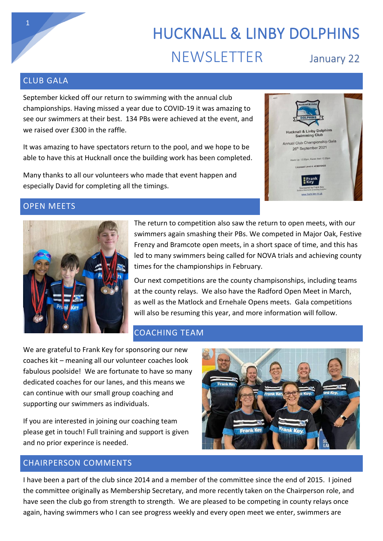# HUCKNALL & LINBY DOLPHINS NEWSLETTER January 22

#### CLUB GALA

September kicked off our return to swimming with the annual club championships. Having missed a year due to COVID-19 it was amazing to see our swimmers at their best. 134 PBs were achieved at the event, and we raised over £300 in the raffle.

It was amazing to have spectators return to the pool, and we hope to be able to have this at Hucknall once the building work has been completed.

Many thanks to all our volunteers who made that event happen and especially David for completing all the timings.

## **Hucknall & Linby Dolphins**<br>Swimming Club Annual Club Championship Gala 26th September 2021 Up: 12:00pm, Ra

#### OPEN MEETS



The return to competition also saw the return to open meets, with our swimmers again smashing their PBs. We competed in Major Oak, Festive Frenzy and Bramcote open meets, in a short space of time, and this has led to many swimmers being called for NOVA trials and achieving county times for the championships in February.

Our next competitions are the county champisonships, including teams at the county relays. We also have the Radford Open Meet in March, as well as the Matlock and Ernehale Opens meets. Gala competitions will also be resuming this year, and more information will follow.

#### COACHING TEAM

We are grateful to Frank Key for sponsoring our new coaches kit – meaning all our volunteer coaches look fabulous poolside! We are fortunate to have so many dedicated coaches for our lanes, and this means we can continue with our small group coaching and supporting our swimmers as individuals.

If you are interested in joining our coaching team please get in touch! Full training and support is given and no prior experince is needed.

#### CHAIRPERSON COMMENTS

I have been a part of the club since 2014 and a member of the committee since the end of 2015. I joined the committee originally as Membership Secretary, and more recently taken on the Chairperson role, and have seen the club go from strength to strength. We are pleased to be competing in county relays once again, having swimmers who I can see progress weekly and every open meet we enter, swimmers are